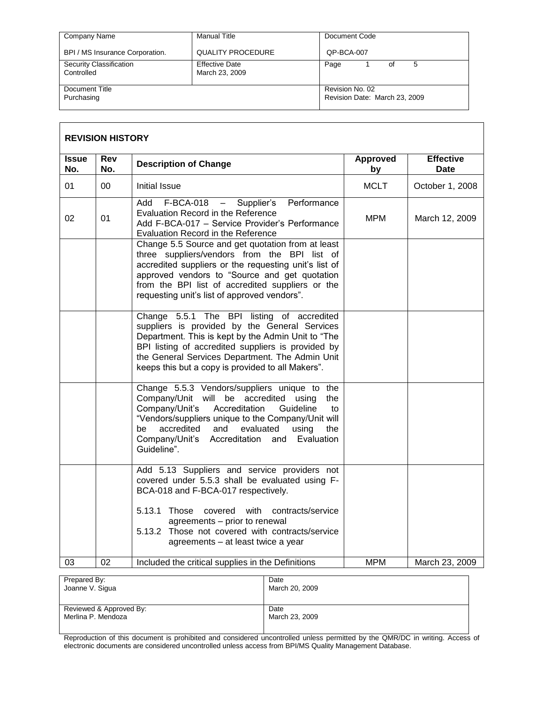| Company Name                          | Manual Title                            | Document Code                                    |
|---------------------------------------|-----------------------------------------|--------------------------------------------------|
| BPI / MS Insurance Corporation.       | <b>QUALITY PROCEDURE</b>                | QP-BCA-007                                       |
| Security Classification<br>Controlled | <b>Effective Date</b><br>March 23, 2009 | Page<br>5<br>οf                                  |
| Document Title<br>Purchasing          |                                         | Revision No. 02<br>Revision Date: March 23, 2009 |

|                     | <b>REVISION HISTORY</b> |                                                                                                                                                                                                                                                                                                                                         |                |                          |
|---------------------|-------------------------|-----------------------------------------------------------------------------------------------------------------------------------------------------------------------------------------------------------------------------------------------------------------------------------------------------------------------------------------|----------------|--------------------------|
| <b>Issue</b><br>No. | <b>Rev</b><br>No.       | <b>Description of Change</b>                                                                                                                                                                                                                                                                                                            | Approved<br>by | <b>Effective</b><br>Date |
| 01                  | 00                      | <b>Initial Issue</b>                                                                                                                                                                                                                                                                                                                    | <b>MCLT</b>    | October 1, 2008          |
| 02                  | 01                      | Performance<br>$F-BCA-018 -$<br>Supplier's<br>Add<br>Evaluation Record in the Reference<br>Add F-BCA-017 - Service Provider's Performance<br>Evaluation Record in the Reference                                                                                                                                                         | <b>MPM</b>     | March 12, 2009           |
|                     |                         | Change 5.5 Source and get quotation from at least<br>three suppliers/vendors from the BPI list of<br>accredited suppliers or the requesting unit's list of<br>approved vendors to "Source and get quotation<br>from the BPI list of accredited suppliers or the<br>requesting unit's list of approved vendors".                         |                |                          |
|                     |                         | Change 5.5.1 The BPI listing of accredited<br>suppliers is provided by the General Services<br>Department. This is kept by the Admin Unit to "The<br>BPI listing of accredited suppliers is provided by<br>the General Services Department. The Admin Unit<br>keeps this but a copy is provided to all Makers".                         |                |                          |
|                     |                         | Change 5.5.3 Vendors/suppliers unique to the<br>Company/Unit will be accredited<br>using<br>the<br>Company/Unit's<br>Accreditation<br>Guideline<br>to<br>"Vendors/suppliers unique to the Company/Unit will<br>accredited<br>and<br>evaluated<br>using<br>be<br>the<br>Company/Unit's Accreditation<br>Evaluation<br>and<br>Guideline". |                |                          |
|                     |                         | Add 5.13 Suppliers and service providers not<br>covered under 5.5.3 shall be evaluated using F-<br>BCA-018 and F-BCA-017 respectively.                                                                                                                                                                                                  |                |                          |
|                     |                         | 5.13.1 Those covered with contracts/service<br>agreements - prior to renewal<br>5.13.2 Those not covered with contracts/service<br>agreements - at least twice a year                                                                                                                                                                   |                |                          |
| 03                  | 02                      | Included the critical supplies in the Definitions                                                                                                                                                                                                                                                                                       | <b>MPM</b>     | March 23, 2009           |

| Date           |
|----------------|
| March 20, 2009 |
|                |
|                |
| Date           |
| March 23, 2009 |
|                |
|                |

Reproduction of this document is prohibited and considered uncontrolled unless permitted by the QMR/DC in writing. Access of electronic documents are considered uncontrolled unless access from BPI/MS Quality Management Database.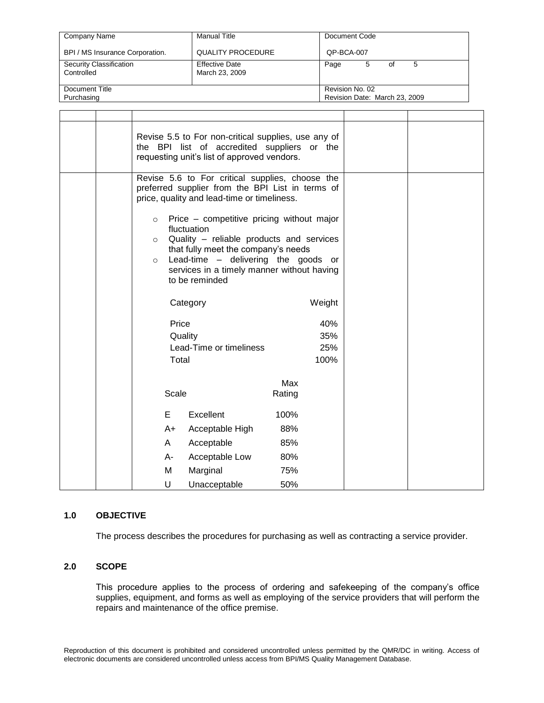| Company Name                          | <b>Manual Title</b>                     | Document Code                                    |
|---------------------------------------|-----------------------------------------|--------------------------------------------------|
| BPI / MS Insurance Corporation.       | <b>QUALITY PROCEDURE</b>                | QP-BCA-007                                       |
| Security Classification<br>Controlled | <b>Effective Date</b><br>March 23, 2009 | Page<br>0f<br>5                                  |
| Document Title<br>Purchasing          |                                         | Revision No. 02<br>Revision Date: March 23, 2009 |

|  |                               | Revise 5.5 to For non-critical supplies, use any of<br>the BPI list of accredited suppliers or the<br>requesting unit's list of approved vendors.                                                                                                                                                                                                                                                        |                           |  |
|--|-------------------------------|----------------------------------------------------------------------------------------------------------------------------------------------------------------------------------------------------------------------------------------------------------------------------------------------------------------------------------------------------------------------------------------------------------|---------------------------|--|
|  | $\circ$<br>$\circ$<br>$\circ$ | Revise 5.6 to For critical supplies, choose the<br>preferred supplier from the BPI List in terms of<br>price, quality and lead-time or timeliness.<br>Price - competitive pricing without major<br>fluctuation<br>Quality - reliable products and services<br>that fully meet the company's needs<br>Lead-time - delivering the goods or<br>services in a timely manner without having<br>to be reminded |                           |  |
|  |                               | Category                                                                                                                                                                                                                                                                                                                                                                                                 | Weight                    |  |
|  | Price<br>Total                | Quality<br>Lead-Time or timeliness                                                                                                                                                                                                                                                                                                                                                                       | 40%<br>35%<br>25%<br>100% |  |
|  | Scale                         |                                                                                                                                                                                                                                                                                                                                                                                                          | Max<br>Rating             |  |
|  | E                             | Excellent                                                                                                                                                                                                                                                                                                                                                                                                | 100%                      |  |
|  | A+                            | Acceptable High                                                                                                                                                                                                                                                                                                                                                                                          | 88%                       |  |
|  | A                             | Acceptable                                                                                                                                                                                                                                                                                                                                                                                               | 85%                       |  |
|  | A-                            | Acceptable Low                                                                                                                                                                                                                                                                                                                                                                                           | 80%                       |  |
|  | M                             | Marginal                                                                                                                                                                                                                                                                                                                                                                                                 | 75%                       |  |
|  | U                             | Unacceptable                                                                                                                                                                                                                                                                                                                                                                                             | 50%                       |  |

# **1.0 OBJECTIVE**

The process describes the procedures for purchasing as well as contracting a service provider.

## **2.0 SCOPE**

This procedure applies to the process of ordering and safekeeping of the company's office supplies, equipment, and forms as well as employing of the service providers that will perform the repairs and maintenance of the office premise.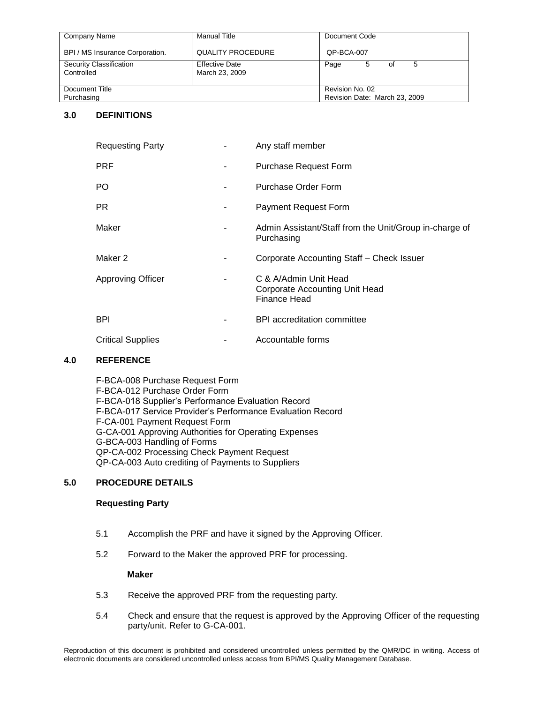| Company Name                          | Manual Title                            | Document Code                                    |
|---------------------------------------|-----------------------------------------|--------------------------------------------------|
| BPI / MS Insurance Corporation.       | <b>QUALITY PROCEDURE</b>                | OP-BCA-007                                       |
| Security Classification<br>Controlled | <b>Effective Date</b><br>March 23, 2009 | Page<br>5<br>οf                                  |
| Document Title<br>Purchasing          |                                         | Revision No. 02<br>Revision Date: March 23, 2009 |

## **3.0 DEFINITIONS**

| <b>Requesting Party</b>  | Any staff member                                                        |
|--------------------------|-------------------------------------------------------------------------|
| <b>PRF</b>               | <b>Purchase Request Form</b>                                            |
| PO.                      | Purchase Order Form                                                     |
| PR.                      | <b>Payment Request Form</b>                                             |
| Maker                    | Admin Assistant/Staff from the Unit/Group in-charge of<br>Purchasing    |
| Maker 2                  | Corporate Accounting Staff - Check Issuer                               |
| <b>Approving Officer</b> | C & A/Admin Unit Head<br>Corporate Accounting Unit Head<br>Finance Head |
| <b>BPI</b>               | <b>BPI</b> accreditation committee                                      |
| <b>Critical Supplies</b> | Accountable forms                                                       |

### **4.0 REFERENCE**

F-BCA-008 Purchase Request Form F-BCA-012 Purchase Order Form F-BCA-018 Supplier's Performance Evaluation Record F-BCA-017 Service Provider's Performance Evaluation Record F-CA-001 Payment Request Form G-CA-001 Approving Authorities for Operating Expenses G-BCA-003 Handling of Forms QP-CA-002 Processing Check Payment Request QP-CA-003 Auto crediting of Payments to Suppliers

## **5.0 PROCEDURE DETAILS**

### **Requesting Party**

- 5.1 Accomplish the PRF and have it signed by the Approving Officer.
- 5.2 Forward to the Maker the approved PRF for processing.

### **Maker**

- 5.3 Receive the approved PRF from the requesting party.
- 5.4 Check and ensure that the request is approved by the Approving Officer of the requesting party/unit. Refer to G-CA-001.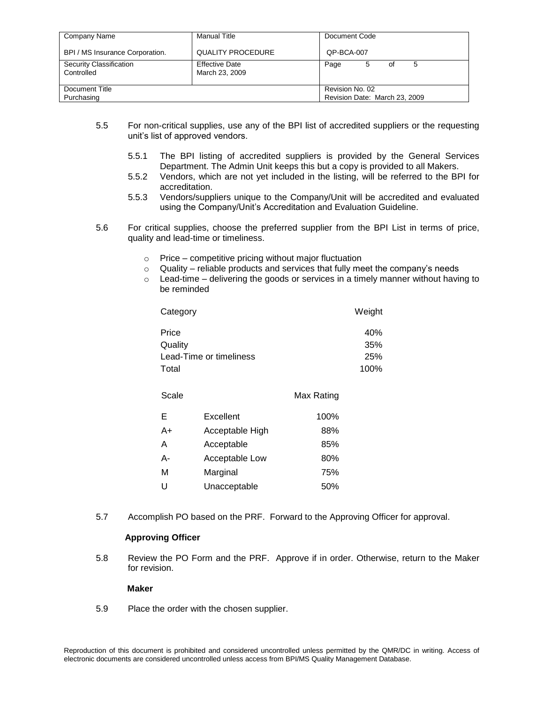| Company Name                          | <b>Manual Title</b>                     | Document Code                                    |
|---------------------------------------|-----------------------------------------|--------------------------------------------------|
| BPI / MS Insurance Corporation.       | <b>QUALITY PROCEDURE</b>                | OP-BCA-007                                       |
| Security Classification<br>Controlled | <b>Effective Date</b><br>March 23, 2009 | Page<br>5<br>5<br>οf                             |
| Document Title<br>Purchasing          |                                         | Revision No. 02<br>Revision Date: March 23, 2009 |

- 5.5 For non-critical supplies, use any of the BPI list of accredited suppliers or the requesting unit's list of approved vendors.
	- 5.5.1 The BPI listing of accredited suppliers is provided by the General Services Department. The Admin Unit keeps this but a copy is provided to all Makers.
	- 5.5.2 Vendors, which are not yet included in the listing, will be referred to the BPI for accreditation.
	- 5.5.3 Vendors/suppliers unique to the Company/Unit will be accredited and evaluated using the Company/Unit's Accreditation and Evaluation Guideline.
- 5.6 For critical supplies, choose the preferred supplier from the BPI List in terms of price, quality and lead-time or timeliness.
	- o Price competitive pricing without major fluctuation
	- o Quality reliable products and services that fully meet the company's needs
	- $\circ$  Lead-time delivering the goods or services in a timely manner without having to be reminded

| Category                | Weight     |
|-------------------------|------------|
| Price                   | 40%        |
| Quality                 | 35%        |
| Lead-Time or timeliness | <b>25%</b> |
| Total                   | 100%       |

| Scale |                 | Max Rating |
|-------|-----------------|------------|
| Е     | Excellent       | 100%       |
| A+    | Acceptable High | 88%        |
| Α     | Acceptable      | 85%        |
| А-    | Acceptable Low  | 80%        |
| М     | Marginal        | 75%        |
| U     | Unacceptable    | 50%        |

5.7 Accomplish PO based on the PRF. Forward to the Approving Officer for approval.

### **Approving Officer**

5.8 Review the PO Form and the PRF. Approve if in order. Otherwise, return to the Maker for revision.

### **Maker**

5.9 Place the order with the chosen supplier.